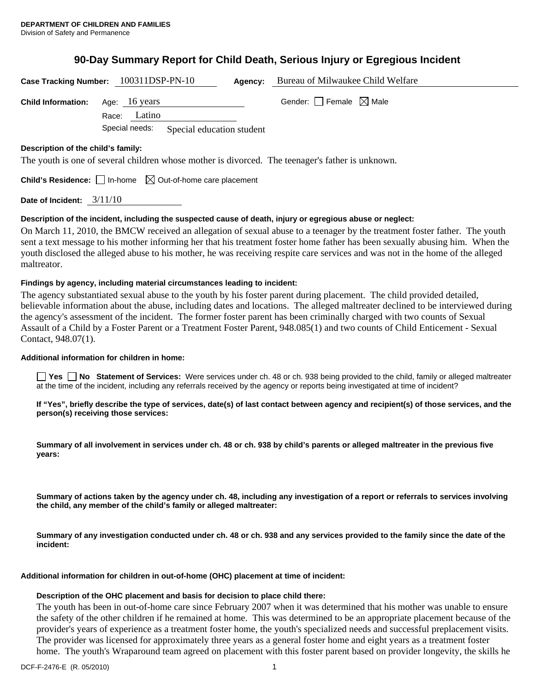# **90-Day Summary Report for Child Death, Serious Injury or Egregious Incident**

| Case Tracking Number: 100311DSP-PN-10                                                                                                  |                 |                           | Agency: | Bureau of Milwaukee Child Welfare |
|----------------------------------------------------------------------------------------------------------------------------------------|-----------------|---------------------------|---------|-----------------------------------|
| <b>Child Information:</b>                                                                                                              | Age: 16 years   |                           |         | Gender: Female $\boxtimes$ Male   |
|                                                                                                                                        | Latino<br>Race: |                           |         |                                   |
|                                                                                                                                        | Special needs:  | Special education student |         |                                   |
| Description of the child's family:<br>The youth is one of several children whose mother is divorced. The teenager's father is unknown. |                 |                           |         |                                   |
| <b>Child's Residence:</b> $\Box$ In-home $\Box$ Out-of-home care placement                                                             |                 |                           |         |                                   |
| Date of Incident:                                                                                                                      | 3/11/10         |                           |         |                                   |

#### **Description of the incident, including the suspected cause of death, injury or egregious abuse or neglect:**

On March 11, 2010, the BMCW received an allegation of sexual abuse to a teenager by the treatment foster father. The youth sent a text message to his mother informing her that his treatment foster home father has been sexually abusing him. When the youth disclosed the alleged abuse to his mother, he was receiving respite care services and was not in the home of the alleged maltreator.

#### **Findings by agency, including material circumstances leading to incident:**

The agency substantiated sexual abuse to the youth by his foster parent during placement. The child provided detailed, believable information about the abuse, including dates and locations. The alleged maltreater declined to be interviewed during the agency's assessment of the incident. The former foster parent has been criminally charged with two counts of Sexual Assault of a Child by a Foster Parent or a Treatment Foster Parent, 948.085(1) and two counts of Child Enticement - Sexual Contact, 948.07(1).

#### **Additional information for children in home:**

**Yes No** Statement of Services: Were services under ch. 48 or ch. 938 being provided to the child, family or alleged maltreater at the time of the incident, including any referrals received by the agency or reports being investigated at time of incident?

**If "Yes", briefly describe the type of services, date(s) of last contact between agency and recipient(s) of those services, and the person(s) receiving those services:** 

**Summary of all involvement in services under ch. 48 or ch. 938 by child's parents or alleged maltreater in the previous five years:** 

**Summary of actions taken by the agency under ch. 48, including any investigation of a report or referrals to services involving the child, any member of the child's family or alleged maltreater:** 

**Summary of any investigation conducted under ch. 48 or ch. 938 and any services provided to the family since the date of the incident:** 

**Additional information for children in out-of-home (OHC) placement at time of incident:** 

#### **Description of the OHC placement and basis for decision to place child there:**

The youth has been in out-of-home care since February 2007 when it was determined that his mother was unable to ensure the safety of the other children if he remained at home. This was determined to be an appropriate placement because of the provider's years of experience as a treatment foster home, the youth's specialized needs and successful preplacement visits. The provider was licensed for approximately three years as a general foster home and eight years as a treatment foster home. The youth's Wraparound team agreed on placement with this foster parent based on provider longevity, the skills he